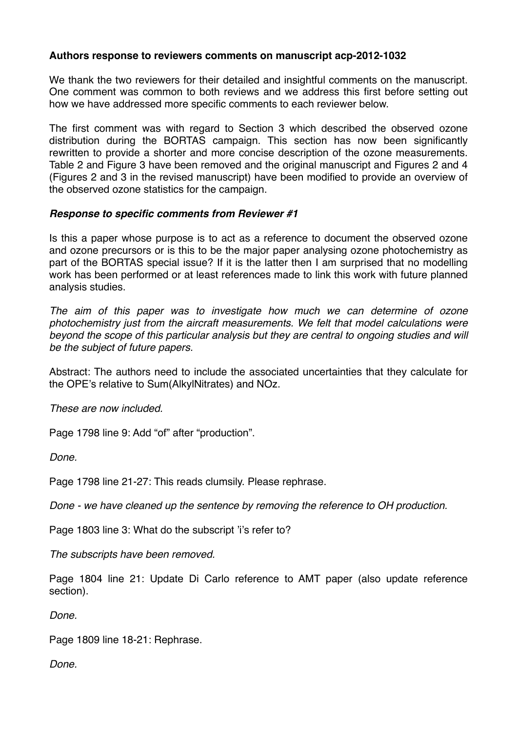## **Authors response to reviewers comments on manuscript acp-2012-1032**

We thank the two reviewers for their detailed and insightful comments on the manuscript. One comment was common to both reviews and we address this first before setting out how we have addressed more specific comments to each reviewer below.

The first comment was with regard to Section 3 which described the observed ozone distribution during the BORTAS campaign. This section has now been significantly rewritten to provide a shorter and more concise description of the ozone measurements. Table 2 and Figure 3 have been removed and the original manuscript and Figures 2 and 4 (Figures 2 and 3 in the revised manuscript) have been modified to provide an overview of the observed ozone statistics for the campaign.

## *Response to specific comments from Reviewer #1*

Is this a paper whose purpose is to act as a reference to document the observed ozone and ozone precursors or is this to be the major paper analysing ozone photochemistry as part of the BORTAS special issue? If it is the latter then I am surprised that no modelling work has been performed or at least references made to link this work with future planned analysis studies.

*The aim of this paper was to investigate how much we can determine of ozone photochemistry just from the aircraft measurements. We felt that model calculations were beyond the scope of this particular analysis but they are central to ongoing studies and will be the subject of future papers.* 

Abstract: The authors need to include the associated uncertainties that they calculate for the OPE's relative to Sum(AlkylNitrates) and NOz.

*These are now included.*

Page 1798 line 9: Add "of" after "production".

*Done.*

Page 1798 line 21-27: This reads clumsily. Please rephrase.

*Done - we have cleaned up the sentence by removing the reference to OH production.*

Page 1803 line 3: What do the subscript 'i's refer to?

*The subscripts have been removed.*

Page 1804 line 21: Update Di Carlo reference to AMT paper (also update reference section).

*Done.*

Page 1809 line 18-21: Rephrase.

*Done.*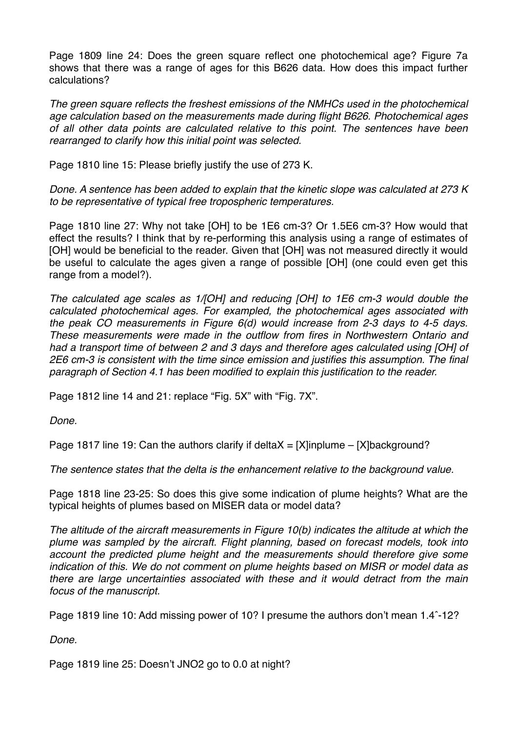Page 1809 line 24: Does the green square reflect one photochemical age? Figure 7a shows that there was a range of ages for this B626 data. How does this impact further calculations?

*The green square reflects the freshest emissions of the NMHCs used in the photochemical age calculation based on the measurements made during flight B626. Photochemical ages of all other data points are calculated relative to this point. The sentences have been rearranged to clarify how this initial point was selected.*

Page 1810 line 15: Please briefly justify the use of 273 K.

*Done. A sentence has been added to explain that the kinetic slope was calculated at 273 K to be representative of typical free tropospheric temperatures.*

Page 1810 line 27: Why not take [OH] to be 1E6 cm-3? Or 1.5E6 cm-3? How would that effect the results? I think that by re-performing this analysis using a range of estimates of [OH] would be beneficial to the reader. Given that [OH] was not measured directly it would be useful to calculate the ages given a range of possible [OH] (one could even get this range from a model?).

*The calculated age scales as 1/[OH] and reducing [OH] to 1E6 cm-3 would double the calculated photochemical ages. For exampled, the photochemical ages associated with the peak CO measurements in Figure 6(d) would increase from 2-3 days to 4-5 days. These measurements were made in the outflow from fires in Northwestern Ontario and had a transport time of between 2 and 3 days and therefore ages calculated using [OH] of 2E6 cm-3 is consistent with the time since emission and justifies this assumption. The final paragraph of Section 4.1 has been modified to explain this justification to the reader.*

Page 1812 line 14 and 21: replace "Fig. 5X" with "Fig. 7X".

*Done.*

Page 1817 line 19: Can the authors clarify if delta $X = [X]$ inplume – [X]background?

*The sentence states that the delta is the enhancement relative to the background value.*

Page 1818 line 23-25: So does this give some indication of plume heights? What are the typical heights of plumes based on MISER data or model data?

*The altitude of the aircraft measurements in Figure 10(b) indicates the altitude at which the plume was sampled by the aircraft. Flight planning, based on forecast models, took into account the predicted plume height and the measurements should therefore give some indication of this. We do not comment on plume heights based on MISR or model data as there are large uncertainties associated with these and it would detract from the main focus of the manuscript.*

Page 1819 line 10: Add missing power of 10? I presume the authors don't mean 1.4ˆ-12?

*Done.*

Page 1819 line 25: Doesn't JNO2 go to 0.0 at night?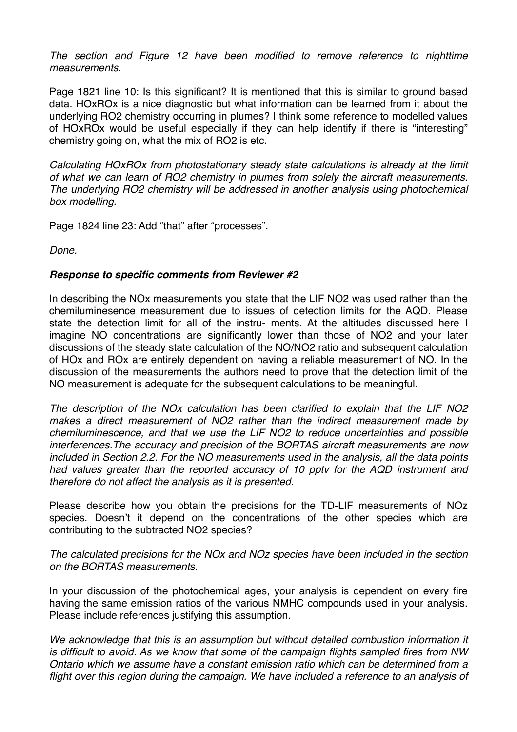*The section and Figure 12 have been modified to remove reference to nighttime measurements.*

Page 1821 line 10: Is this significant? It is mentioned that this is similar to ground based data. HOxROx is a nice diagnostic but what information can be learned from it about the underlying RO2 chemistry occurring in plumes? I think some reference to modelled values of HOxROx would be useful especially if they can help identify if there is "interesting" chemistry going on, what the mix of RO2 is etc.

*Calculating HOxROx from photostationary steady state calculations is already at the limit of what we can learn of RO2 chemistry in plumes from solely the aircraft measurements. The underlying RO2 chemistry will be addressed in another analysis using photochemical box modelling.*

Page 1824 line 23: Add "that" after "processes".

*Done.*

## *Response to specific comments from Reviewer #2*

In describing the NOx measurements you state that the LIF NO2 was used rather than the chemiluminesence measurement due to issues of detection limits for the AQD. Please state the detection limit for all of the instru- ments. At the altitudes discussed here I imagine NO concentrations are significantly lower than those of NO2 and your later discussions of the steady state calculation of the NO/NO2 ratio and subsequent calculation of HOx and ROx are entirely dependent on having a reliable measurement of NO. In the discussion of the measurements the authors need to prove that the detection limit of the NO measurement is adequate for the subsequent calculations to be meaningful.

*The description of the NOx calculation has been clarified to explain that the LIF NO2 makes a direct measurement of NO2 rather than the indirect measurement made by chemiluminescence, and that we use the LIF NO2 to reduce uncertainties and possible interferences.The accuracy and precision of the BORTAS aircraft measurements are now included in Section 2.2. For the NO measurements used in the analysis, all the data points had values greater than the reported accuracy of 10 pptv for the AQD instrument and therefore do not affect the analysis as it is presented.*

Please describe how you obtain the precisions for the TD-LIF measurements of NOz species. Doesn't it depend on the concentrations of the other species which are contributing to the subtracted NO2 species?

*The calculated precisions for the NOx and NOz species have been included in the section on the BORTAS measurements.*

In your discussion of the photochemical ages, your analysis is dependent on every fire having the same emission ratios of the various NMHC compounds used in your analysis. Please include references justifying this assumption.

*We acknowledge that this is an assumption but without detailed combustion information it is difficult to avoid. As we know that some of the campaign flights sampled fires from NW Ontario which we assume have a constant emission ratio which can be determined from a flight over this region during the campaign. We have included a reference to an analysis of*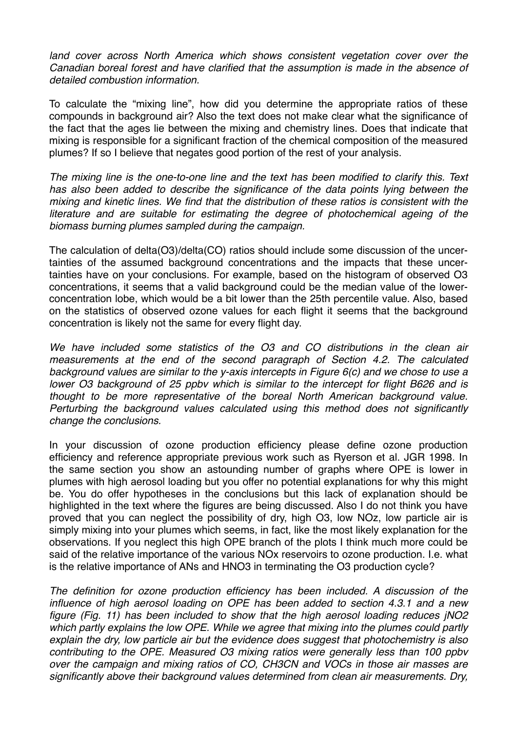land cover across North America which shows consistent vegetation cover over the *Canadian boreal forest and have clarified that the assumption is made in the absence of detailed combustion information.*

To calculate the "mixing line", how did you determine the appropriate ratios of these compounds in background air? Also the text does not make clear what the significance of the fact that the ages lie between the mixing and chemistry lines. Does that indicate that mixing is responsible for a significant fraction of the chemical composition of the measured plumes? If so I believe that negates good portion of the rest of your analysis.

*The mixing line is the one-to-one line and the text has been modified to clarify this. Text has also been added to describe the significance of the data points lying between the mixing and kinetic lines. We find that the distribution of these ratios is consistent with the literature and are suitable for estimating the degree of photochemical ageing of the biomass burning plumes sampled during the campaign.*

The calculation of delta(O3)/delta(CO) ratios should include some discussion of the uncertainties of the assumed background concentrations and the impacts that these uncertainties have on your conclusions. For example, based on the histogram of observed O3 concentrations, it seems that a valid background could be the median value of the lowerconcentration lobe, which would be a bit lower than the 25th percentile value. Also, based on the statistics of observed ozone values for each flight it seems that the background concentration is likely not the same for every flight day.

*We have included some statistics of the O3 and CO distributions in the clean air measurements at the end of the second paragraph of Section 4.2. The calculated background values are similar to the y-axis intercepts in Figure 6(c) and we chose to use a lower O3 background of 25 ppbv which is similar to the intercept for flight B626 and is thought to be more representative of the boreal North American background value. Perturbing the background values calculated using this method does not significantly change the conclusions.*

In your discussion of ozone production efficiency please define ozone production efficiency and reference appropriate previous work such as Ryerson et al. JGR 1998. In the same section you show an astounding number of graphs where OPE is lower in plumes with high aerosol loading but you offer no potential explanations for why this might be. You do offer hypotheses in the conclusions but this lack of explanation should be highlighted in the text where the figures are being discussed. Also I do not think you have proved that you can neglect the possibility of dry, high O3, low NOz, low particle air is simply mixing into your plumes which seems, in fact, like the most likely explanation for the observations. If you neglect this high OPE branch of the plots I think much more could be said of the relative importance of the various NOx reservoirs to ozone production. I.e. what is the relative importance of ANs and HNO3 in terminating the O3 production cycle?

*The definition for ozone production efficiency has been included. A discussion of the influence of high aerosol loading on OPE has been added to section 4.3.1 and a new figure (Fig. 11) has been included to show that the high aerosol loading reduces jNO2 which partly explains the low OPE. While we agree that mixing into the plumes could partly explain the dry, low particle air but the evidence does suggest that photochemistry is also contributing to the OPE. Measured O3 mixing ratios were generally less than 100 ppbv over the campaign and mixing ratios of CO, CH3CN and VOCs in those air masses are significantly above their background values determined from clean air measurements. Dry,*